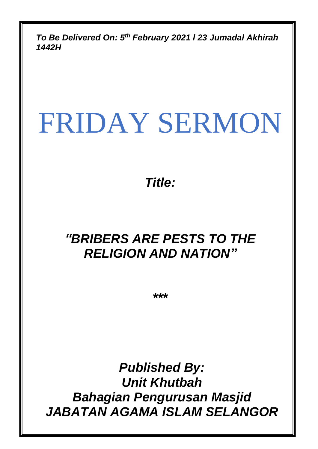*To Be Delivered On: 5 th February 2021 l 23 Jumadal Akhirah 1442H*

# FRIDAY SERMON

*Title:*

# *"BRIBERS ARE PESTS TO THE RELIGION AND NATION"*

*\*\*\**

*Published By: Unit Khutbah Bahagian Pengurusan Masjid JABATAN AGAMA ISLAM SELANGOR*

0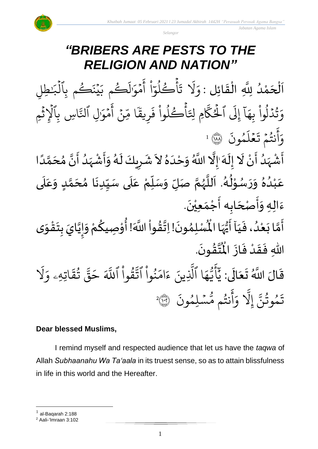

*Selangor*

# *"BRIBERS ARE PESTS TO THE RELIGION AND NATION"*

اَلْحَمْدُ لِلَّهِ الْقَائِلِ : وَلَا تَأْكُلُوٓاْ أَمۡوَٰلَكُم بَيۡنَكُم بِٱلۡبَٰطِلِ  $\frac{1}{2}$ ֦֧֦֧֦֧֦֧֦֧֦֜֜֜֜֓֓֟֓<br>֧ׅׅ֝֜֜֜֜֜֜֜֜֜֜֜֜֬֜֜֜֬֟ ة<br>م و<br>و ر<br>م  $\overline{\phantom{a}}$ ֦֧֦֧֦֧֦֧֦֧֦֧֦֧֜֜֜֜֓֓֟֓֟֓֟֓֟֓֟֓<br>֧֝֜֜**֓**֧֓֟֟  $\mathbf{r}$ َٰ ر<br>. يْنَكُم بِٱلۡبَٰـٰ ہ<br>1 و ؚ<br>ۣ  $\tilde{\cdot}$ م ب ك و ر<br>1 ل ֪֪֪֧֧֧֧֦֧֦֧֦֧֦֧֦֦֧֦֧֦֧֦֧֦֧֦֧֦֧֦֧֦֧֝֝֝֝֝֝֟֟֟֟֟֟֟֟֟֟֟֟֟֟֟֟֟֟֟֟֟֟֟֟֟֟֟֟֩֕֟֩֕֓֟֩֕֓֟֩֕֓֟֩֕֟֩֕֟֩֕֟֩֕֝֬  $\overline{\phantom{a}}$ مَوَّا  $\frac{1}{2}$ ِ<br>ج أ ْ مُ ا  $\frac{1}{\epsilon}$ اڪلو و<br>ا و ہ<br>م  $\ddot{\cdot}$ ;<br>نا ر<br>1 َل  $\frac{1}{\alpha}$ و اسِ بِالْإِثْمِ ្ ہ<br>1 ابتد<br>ج ِل ٱنل َٰ  $\overline{\phantom{a}}$ مَوَّا  $\frac{1}{2}$ ِ<br>ج أ ؚ<br>ٛ ِن ىد<br>م ا م  $\frac{1}{2}$ يق ِ ر  $\ddot{\cdot}$ ف وا ل ك أ ة<br>ا و<br>ا ر ہ<br>م  $\ddot{\phantom{0}}$ ِم ِِل ان<br>س الحُكَّا ِ<br>ش ្ត  $\tilde{1}$ إلى  $\tilde{1}$ ا  $\frac{1}{\Delta}$ ثَدۡلوا بِهَ ْ  $\frac{1}{\sqrt{2}}$ ل ہ<br>ا و<br>په  $\frac{1}{c}$ و  $\ddot{\cdot}$ ون م و ر<br>آ ل ع  $\frac{1}{2}$  $\ddot{\phantom{0}}$ نتُمۡ تَـ  $\frac{1}{2}$ و<br>په .<br>ع أ  $\frac{1}{2}$ وَانْتُمْ تَعْلَمُونَ ۞ اللهَ ً<br>أ ل<br>م  $\overline{\phantom{a}}$  $\frac{1}{\lambda}$ ه  $\frac{1}{2}$ و<br>و  $\frac{1}{2}$ ْ<br>ٔ  $\frac{1}{2}$  $\tilde{\cdot}$ ر<br>پر  $\tilde{\mathbf{r}}$  $\frac{1}{2}$  $\sim$  $\frac{1}{2}$  $\frac{1}{1}$ ْ  $\frac{1}{2}$ سم<br>مار ر<br>سا ۔<br>ا  $\tilde{\mathbf{r}}$ ំ<br>•  $\frac{1}{2}$ ا<br>و  $\frac{1}{2}$ ْ ا<br>پنج

-<br>أَشْهَدُ أَنْ لَا إِلَهَ ٰإِلَّا اللَّهُ وَحْدَهُ لاَ شَرِيكَ لَهُ وَأَشْهَدُ أَنَّ مُحَمَّدًا <u>ز</u>  $\frac{1}{2}$ عَبْدُهُ وَرَسُوْلُهُ. اَللَّهُمَّ صَلِّ وَسَلِّمْ عَلَى سَيِّدِنَا مُحَمَّدٍ وَعَلَى  $\frac{1}{1}$ ِ<br>م  $\frac{1}{2}$ <u>لم</u> ة<br>م  $\overline{\phantom{a}}$  $\frac{1}{2}$  $\ddot{\phantom{0}}$ ِ<br>∪<br>∫  $\frac{1}{2}$  $\frac{1}{1}$ .<br>م ّ<br>پُ ِّ  $\overline{a}$  $\tilde{\cdot}$ لة<br>م ر<br>ر<br>ر ة<br>أ م<br>آ و<br>گ ء<br>ا∲ י<br>י ر<br>م  $\frac{1}{2}$  $\frac{1}{2}$  $\frac{2}{\lambda}$ .<br>و ْ .<br>م .  $\ddot{\phantom{0}}$ ءَالِهِ وَأَصْحَابِه أَجْمَعِيْنَ ّٰ<br>ا  $\frac{1}{2}$ ْ َ<br>پنج  $\overline{\phantom{a}}$  $\frac{1}{2}$  $\frac{1}{2}$  $\frac{1}{2}$ 

 $\overline{r}$ ۔<br>لَمْسُلِ أَمَّا بَعْدُ، فَيَاۤ أَيُّهَا الْمُسْلِمُونَ! اِتَّقُواْ اللَّهَ! أُوْصِيكُمْ وَإِيَّايَ بِتَقْوَى ِ<br>په ُ<br>وُ  $\frac{1}{2}$ َ  $\frac{1}{2}$ و<br>و ំ<br>រ  $\ddot{\phantom{0}}$ لة<br>م  $\frac{1}{2}$  $\ddot{\ }$ ֦֧֦֧<u>֦</u>  $\ddot{\phantom{0}}$ ِ دِ ن<br>• ا<br>-<br>- $\tilde{\cdot}$ ْ <u>ل</u>و ֦֧֦֧֦  $\frac{9}{2}$ ٝ<br>ا  $\frac{1}{2}$ لة<br>\*  $\ddot{\phantom{0}}$ ُ<br>አ .  $\ddot{\phantom{0}}$ تقونَ  $\frac{9}{4}$ ن<br>منبع<br>مو  $\frac{4}{1}$ اللّٰهِ فَقَدْ فَازَ الْمُ  $\ddot{\cdot}$  $\frac{1}{2}$ ْ  $\frac{1}{2}$  $\frac{1}{2}$ 

قَالَ اللَّهُ تَعَالَى:  $\ddot{\phantom{0}}$ َ  $\frac{1}{2}$  $\frac{1}{2}$ ر<br>1 َل  $\frac{1}{\alpha}$ اتِهِۦ و  $\tilde{\mathbf{z}}$ ؞<br>تق و<br>به ان<br>د قة  $\tilde{\phantom{a}}$ ح ِ<br>آ قُوا اللَّهَ ّ ور ان<br>بو نُوا اڌّ ْ م ُو  $\frac{1}{2}$ ام  $\tilde{\zeta}$ ء ِينَ ا<br>ا ا الَّذِ ر<br>م ه و<br>د سَ<br>ڊ ِ<br>ج  $\overline{\mathcal{L}}$ َ<br>د د  $\ddot{\cdot}$ سُلِمُونَ و  $\ddot{\phantom{0}}$ و<br>م نتُم مَّ و<br>په ا<br>ج أ  $\frac{1}{2}$ و ا<br>ا َِل إ ب<br>م تَمُوثُنَّ إِلَّا وَأَنتُم مُّسۡلِمُونَ ۞ و<br>په و 2

#### **Dear blessed Muslims,**

I remind myself and respected audience that let us have the *taqwa* of Allah *Subhaanahu Wa Ta'aala* in its truest sense, so as to attain blissfulness in life in this world and the Hereafter.

<sup>1</sup> al-Baqarah 2:188

<sup>2</sup> Aali-'Imraan 3:102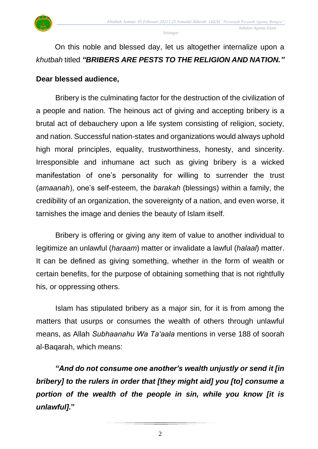

*Selangor*

## On this noble and blessed day, let us altogether internalize upon a *khutbah* titled *"BRIBERS ARE PESTS TO THE RELIGION AND NATION."*

#### **Dear blessed audience,**

Bribery is the culminating factor for the destruction of the civilization of a people and nation. The heinous act of giving and accepting bribery is a brutal act of debauchery upon a life system consisting of religion, society, and nation. Successful nation-states and organizations would always uphold high moral principles, equality, trustworthiness, honesty, and sincerity. Irresponsible and inhumane act such as giving bribery is a wicked manifestation of one's personality for willing to surrender the trust (*amaanah*), one's self-esteem, the *barakah* (blessings) within a family, the credibility of an organization, the sovereignty of a nation, and even worse, it tarnishes the image and denies the beauty of Islam itself.

Bribery is offering or giving any item of value to another individual to legitimize an unlawful (*haraam*) matter or invalidate a lawful (*halaal*) matter. It can be defined as giving something, whether in the form of wealth or certain benefits, for the purpose of obtaining something that is not rightfully his, or oppressing others.

Islam has stipulated bribery as a major sin, for it is from among the matters that usurps or consumes the wealth of others through unlawful means, as Allah *Subhaanahu Wa Ta'aala* mentions in verse 188 of soorah al-Baqarah, which means:

*"And do not consume one another's wealth unjustly or send it [in bribery] to the rulers in order that [they might aid] you [to] consume a portion of the wealth of the people in sin, while you know [it is unlawful].***"**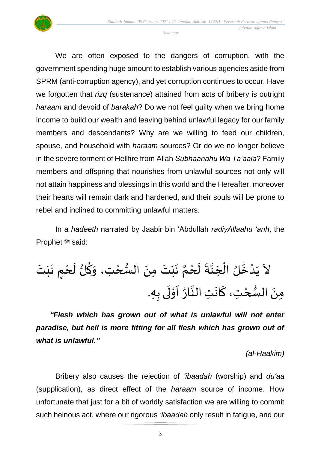

*Selangor*

We are often exposed to the dangers of corruption, with the government spending huge amount to establish various agencies aside from SPRM (anti-corruption agency), and yet corruption continues to occur. Have we forgotten that *rizq* (sustenance) attained from acts of bribery is outright *haraam* and devoid of *barakah*? Do we not feel guilty when we bring home income to build our wealth and leaving behind unlawful legacy for our family members and descendants? Why are we willing to feed our children, spouse, and household with *haraam* sources? Or do we no longer believe in the severe torment of Hellfire from Allah *Subhaanahu Wa Ta'aala*? Family members and offspring that nourishes from unlawful sources not only will not attain happiness and blessings in this world and the Hereafter, moreover their hearts will remain dark and hardened, and their souls will be prone to rebel and inclined to committing unlawful matters.

In a *hadeeth* narrated by Jaabir bin 'Abdullah *radiyAllaahu 'anh*, the **Prophet # said:** 

لُ ُ خ ْ د َ ي َ َل َ ت َ ب َ ٍم ن ْ ح َ ل لُّ ُ ك َ َت، و ْ ح ُّ الس َ َمن َ ت َ ب َ ن ٌ م ْ ح َ ل َ ة ه ن َ ج ْ ال َ َه. ىب َ ل ْ و َ ا ُ ار ه َتالن َ ان َ َت،ك ْ ح ُّ الس َ َمن

*"Flesh which has grown out of what is unlawful will not enter paradise, but hell is more fitting for all flesh which has grown out of what is unlawful."*

*(al-Haakim)*

Bribery also causes the rejection of *'ibaadah* (worship) and *du'aa* (supplication), as direct effect of the *haraam* source of income. How unfortunate that just for a bit of worldly satisfaction we are willing to commit such heinous act, where our rigorous *'ibaadah* only result in fatigue, and our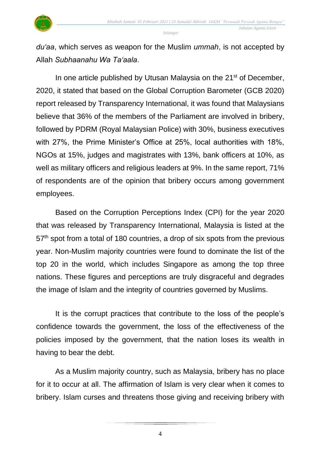

*Selangor*

*du'aa*, which serves as weapon for the Muslim *ummah*, is not accepted by Allah *Subhaanahu Wa Ta'aala*.

In one article published by Utusan Malaysia on the 21<sup>st</sup> of December, 2020, it stated that based on the Global Corruption Barometer (GCB 2020) report released by Transparency International, it was found that Malaysians believe that 36% of the members of the Parliament are involved in bribery, followed by PDRM (Royal Malaysian Police) with 30%, business executives with 27%, the Prime Minister's Office at 25%, local authorities with 18%, NGOs at 15%, judges and magistrates with 13%, bank officers at 10%, as well as military officers and religious leaders at 9%. In the same report, 71% of respondents are of the opinion that bribery occurs among government employees.

Based on the Corruption Perceptions Index (CPI) for the year 2020 that was released by Transparency International, Malaysia is listed at the 57<sup>th</sup> spot from a total of 180 countries, a drop of six spots from the previous year. Non-Muslim majority countries were found to dominate the list of the top 20 in the world, which includes Singapore as among the top three nations. These figures and perceptions are truly disgraceful and degrades the image of Islam and the integrity of countries governed by Muslims.

It is the corrupt practices that contribute to the loss of the people's confidence towards the government, the loss of the effectiveness of the policies imposed by the government, that the nation loses its wealth in having to bear the debt.

As a Muslim majority country, such as Malaysia, bribery has no place for it to occur at all. The affirmation of Islam is very clear when it comes to bribery. Islam curses and threatens those giving and receiving bribery with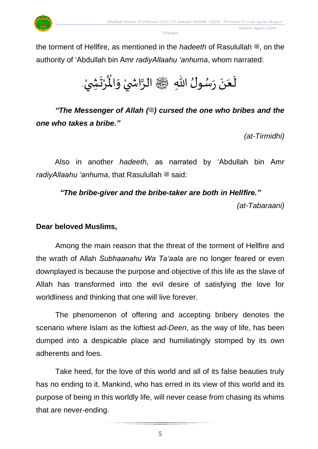

the torment of Hellfire, as mentioned in the *hadeeth* of Rasulullah  $\ddot{\mathscr{E}}$ , on the authority of 'Abdullah bin Amr *radiyAllaahu 'anhuma*, whom narrated:



*"The Messenger of Allah (...)* cursed the one who bribes and the *one who takes a bribe."*

*(at-Tirmidhi)*

Also in another *hadeeth*, as narrated by 'Abdullah bin Amr *radiyAllaahu 'anhuma*, that Rasulullah  $\ddot{\mathscr{E}}$  said:

#### *"The bribe-giver and the bribe-taker are both in Hellfire."*

*(at-Tabaraani)*

### **Dear beloved Muslims,**

Among the main reason that the threat of the torment of Hellfire and the wrath of Allah *Subhaanahu Wa Ta'aala* are no longer feared or even downplayed is because the purpose and objective of this life as the slave of Allah has transformed into the evil desire of satisfying the love for worldliness and thinking that one will live forever.

The phenomenon of offering and accepting bribery denotes the scenario where Islam as the loftiest *ad-Deen*, as the way of life, has been dumped into a despicable place and humiliatingly stomped by its own adherents and foes.

Take heed, for the love of this world and all of its false beauties truly has no ending to it. Mankind, who has erred in its view of this world and its purpose of being in this worldly life, will never cease from chasing its whims that are never-ending.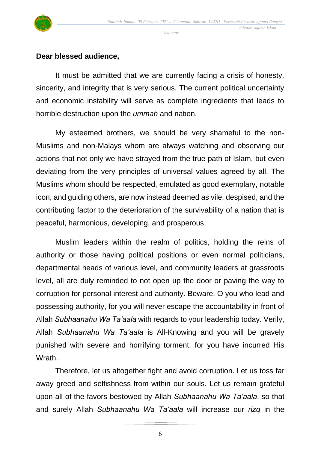

#### **Dear blessed audience,**

It must be admitted that we are currently facing a crisis of honesty, sincerity, and integrity that is very serious. The current political uncertainty and economic instability will serve as complete ingredients that leads to horrible destruction upon the *ummah* and nation.

My esteemed brothers, we should be very shameful to the non-Muslims and non-Malays whom are always watching and observing our actions that not only we have strayed from the true path of Islam, but even deviating from the very principles of universal values agreed by all. The Muslims whom should be respected, emulated as good exemplary, notable icon, and guiding others, are now instead deemed as vile, despised, and the contributing factor to the deterioration of the survivability of a nation that is peaceful, harmonious, developing, and prosperous.

Muslim leaders within the realm of politics, holding the reins of authority or those having political positions or even normal politicians, departmental heads of various level, and community leaders at grassroots level, all are duly reminded to not open up the door or paving the way to corruption for personal interest and authority. Beware, O you who lead and possessing authority, for you will never escape the accountability in front of Allah *Subhaanahu Wa Ta'aala* with regards to your leadership today. Verily, Allah *Subhaanahu Wa Ta'aala* is All-Knowing and you will be gravely punished with severe and horrifying torment, for you have incurred His Wrath.

Therefore, let us altogether fight and avoid corruption. Let us toss far away greed and selfishness from within our souls. Let us remain grateful upon all of the favors bestowed by Allah *Subhaanahu Wa Ta'aala*, so that and surely Allah *Subhaanahu Wa Ta'aala* will increase our *rizq* in the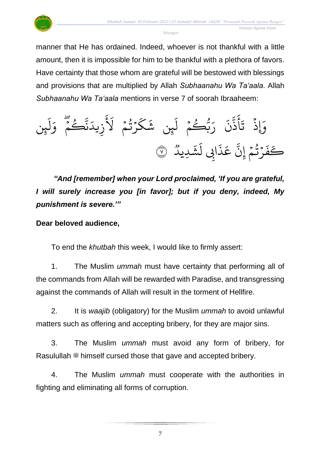

manner that He has ordained. Indeed, whoever is not thankful with a little amount, then it is impossible for him to be thankful with a plethora of favors. Have certainty that those whom are grateful will be bestowed with blessings and provisions that are multiplied by Allah *Subhaanahu Wa Ta'aala*. Allah *Subhaanahu Wa Ta'aala* mentions in verse 7 of soorah Ibraaheem:

ِن ئ َ ل َ و ۡ م ُ ك ا ن َ يد ِ ز َ َ َل ۡ م ُ ت ۡ ر َ ك َ ِن ش ئ َ ل ۡ م ُ ُّك ب َ ر َ ن ا ذ َ أ َ ت ۡ ِإَوذ ٞ ِديد َ ش َ ِِب ل ا َ ذ َ ع ا ِن إ ۡ م ُ ت ۡ ر َ ف <sup>ك</sup> <sup>٧</sup> َ

*"And [remember] when your Lord proclaimed, 'If you are grateful, I will surely increase you [in favor]; but if you deny, indeed, My punishment is severe.'"*

## **Dear beloved audience,**

To end the *khutbah* this week, I would like to firmly assert:

1. The Muslim *ummah* must have certainty that performing all of the commands from Allah will be rewarded with Paradise, and transgressing against the commands of Allah will result in the torment of Hellfire.

2. It is *waajib* (obligatory) for the Muslim *ummah* to avoid unlawful matters such as offering and accepting bribery, for they are major sins.

3. The Muslim *ummah* must avoid any form of bribery, for Rasulullah  $\stackrel{\text{{\rm@}}}{\text{{\rm@}}}$  himself cursed those that gave and accepted bribery.

4. The Muslim *ummah* must cooperate with the authorities in fighting and eliminating all forms of corruption.

7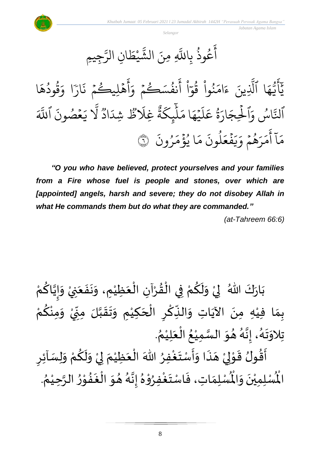

عُوذَ بِا و<br>په و<br>م ِ<br>ج أَعُوذُ بِاللَّهِ ا<br>ا ن  $\ddot{\cdot}$ َللَّٰہِ مِ بر<br>په الشَّيْطَانِ ال  $\frac{1}{2}$ يْط  $\ddot{\phantom{a}}$ بر<br>س رَّجِيمِ

ا  $\frac{1}{\lambda}$ ه ود ق و<br>د و<br>په ر<br>م ا و ֦֓<br>֧֧֧֦֧֦֧֦֦֦֦֦֦֦֦֦֦֦֦֧֧֧֦֧֦֓֕֓֝֓֝֝֟֓֓֝֓֝֓֟֓֓ ارً  $\ddot{\cdot}$ هۡلِيڪُمۡ ذَ  $\frac{1}{2}$ و  $\frac{1}{2}$ ِ<br>ج أ  $\frac{1}{\alpha}$ .<br>نفُسَڪُمۡ وَ  $\frac{1}{2}$ و و<br>د ِ<br>ج أ ْ مُ ا  $\frac{1}{\epsilon}$ نُوا قُوَّ ور ْ مُ ُو  $\frac{1}{2}$ ام  $\tilde{\zeta}$ ء ِينَ ا<br>ا ا الَّذِ  $\frac{1}{4}$ ه و<br>د سَ<br>ڊ ِ<br>ج  $\overline{\phantom{a}}$ ِ<br>د بر<br>يا و<br>ِ اس بة ٱنل ِ<br>آ اللَّهَ  $\ddot{\cdot}$ مۡصُونَ و  $\frac{1}{2}$  $\tilde{\zeta}$ ي ب<br>ا َل وو<br>م اد ِ<br>ا ِشد وو<br>• ظ َ<br>آ ِغَل وٍرٍ<br>'' ة  $\overline{z}$ چکو<br>غ بر<br>آ  $\uplambda$  $\frac{1}{2}$ ا م ر<br>م ه ي  $\ddot{\phantom{0}}$ ر<br>آ  $\uplambda$ ِ<br>م ة<br>قاعَ ور ِ<br>پ ار  $\tilde{\xi}$ الحِجَ ہ<br>1 .<br>م و  $\ddot{\cdot}$ ون ر ُ  $\frac{1}{2}$ م ؤ ا ي ہ<br>ء و<br>د  $\frac{1}{2}$ ر<br>م  $\ddot{\cdot}$ لمونَ و<br>ا  $\frac{1}{2}$ ع ف  $\ddot{\phantom{0}}$  $\tilde{\cdot}$ ر<br>يا  $\frac{1}{c}$ هُمْ وَ  $\frac{1}{2}$ و<br>پر  $\overline{\phantom{a}}$ ر<br>ر  $\frac{1}{2}$ ر<br>م ے<br>آ آ أ مَآ أَمَرَهُمۡ وَيَفۡعَلُونَ مَا يُؤۡمَرُونَ ۞

*"O you who have believed, protect yourselves and your families from a Fire whose fuel is people and stones, over which are*  [appointed] angels, harsh and severe; they do not disobey Allah in *what He commands them but do what they are commanded."*

*(at-Tahreem 66:6)*

ْ بَارَكَ اللّهُ ۖ لِيْ وَلَكُمْ فِي الْقُرْآنِ الْعَظِيْمِ، وَنَفَعَنِيْ وَإِيَّاكُمْ <u>ل</u>و ة<br>م ا<br>-<br>- $\tilde{\cdot}$ ْ َ  $\ddot{\phantom{0}}$  $\ddot{\phantom{0}}$  $\tilde{\cdot}$ ْ َ ْ ْ  $\frac{9}{4}$ ْ ْ <u>ہ</u>  $\tilde{\mathbf{r}}$  $\frac{1}{2}$ ំ<br>,  $\frac{1}{2}$  $\ddot{\ }$ بِمَا فِيْهِ مِنَ الآيَاتِ وَالنِّكْرِ الْحَكِيْمِ وَتَقَبَّلَ مِنِّيْ وَمِنْكُمْ َ<br>اُس  $\ddot{\phantom{0}}$ ْ ์ ْ <u>ل</u> ْ  $\frac{1}{2}$ ْ ั้<br>∙ู  $\sum$ ة<br>م  $\frac{1}{2}$  $\frac{1}{2}$  $\tilde{\cdot}$ ْ َ ْ<br>مُ <u>ر</u> ؚ<br>م **ِّ**  $\frac{1}{2}$ . ़<br>१ تِلاوَتَهُ، إِنَّهُ هُوَ السَّمِيْعُ الْعَلِيْمُ ْ  $\frac{1}{2}$ ֦֧֦֧֦֧֦֧֦֧֦֜֜֜֜֓֓֟֓֟֓<br>֧֝֜֜֜֜֜֜֜**֓** ُ ំ<br>រ ة<br>مد  $\frac{1}{2}$  $\frac{1}{2}$ و<br>گ ه  $\frac{1}{2}$ .<br>پر  $\ddot{\phantom{0}}$  $\frac{1}{2}$ ار ا<br>ج —<br>ع<br>ع

<u>ر</u> أَقُولُ قَوْلِيْ هَذَا وَأَسْتَغْفِرُ اللّٰهَ الْعَظِيْمَ لِيْ وَلَكُمْ وَلِسَاْئِرِ  $\tilde{\cdot}$ ْ <u>ل</u>  $\tilde{\mathbf{r}}$  $\tilde{\cdot}$ ْ إ  $\ddot{\phantom{0}}$ ْ َ ْ ُِ<br>و  $\ddot{\ }$  $\frac{1}{2}$  $\ddot{\phantom{0}}$  $\overline{a}$ ْ إ ֦֦֝֝<br>**֝**  $\frac{1}{2}$ و<br>2 ر<br>ف ر<u>ِب</u><br>لْمُسْلِمَاتِ، فَاسْتَغْفِرُوْهُ إِنَّهُ هُوَ الْ  $\frac{1}{2}$  $\frac{1}{2}$ و<br>گ لة<br>م  $\frac{1}{2}$  $\frac{1}{2}$ ֦֧֦ **بر**<br>م ِ<br>وف  $\ddot{\phantom{0}}$  $\frac{1}{2}$  $\frac{1}{2}$ ر۔<br>لْمُسْلِمِيْنَ وَالْمُ  $\frac{1}{2}$  $\ddot{\phantom{0}}$ ْ الْمُسْلِمِيْنَ وَالْمُسْلِمَاتِ، فَاسْتَغْفِرُوْهُ إِنَّهُ هُوَ الْغَفُوْرُ الرَّحِيْمُ. ፟<br>፞ ْ ة<br>م  $\frac{1}{2}$ י<br>י  $\frac{1}{2}$  $\ddot{\cdot}$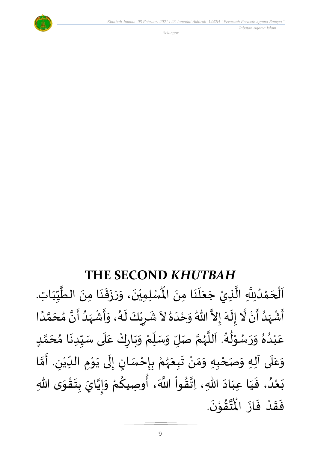

 *Jabatan Agama Islam* 

## **THE SECOND** *KHUTBAH*

للسَّلِمِيْنَ، وَرَزَقَنَا مِنَ الطَّيِّبَاتِ  $\frac{1}{1}$  $\frac{1}{2}$ ِّس ة<br>م  $\ddot{\phantom{0}}$ ्<br>;  $\frac{1}{2}$  $\ddot{\phantom{0}}$  $\frac{1}{2}$  $\frac{1}{2}$  $\ddot{\phantom{0}}$ ْ اَلْحَمْدُلِلَّهِ الَّذِيْ جَعَلَنَا مِنَ الْمُسْلِمِيْنَ، وَرَزَقَنَا مِنَ الطَّيِّبَاتِ.  $\ddot{\phantom{0}}$  $\ddot{\phantom{0}}$ َ<br>الم  $\frac{1}{2}$  $\overline{\phantom{a}}$ ا<br>م ة<br>م و<br>و ំ<br><  $\overline{\phantom{a}}$ ْ  $\overline{\phantom{a}}$ م<br>مع أَشْهَدُ أَنْ لَّا إِلَهَ إِلاَّ اللّهُ وَحْدَهُ لاَ شَرِيْكَ لَهُ، وَأَشْهَدُ أَنَّ مُحَمَّدًا ْ  $\tilde{\mathbf{r}}$ و<br>ا ر<br>زار ْ ِ<br>پنج و<br>گ ا<br>ما ં<br>ત ์ $\frac{1}{\epsilon}$  $\frac{1}{2}$  $\sim$  $\frac{1}{2}$ ِ<br>ا  $\tilde{\cdot}$ ً<br>أ ة<br>م َ )<br>ጎ ه ا<br>بن و<br>و  $\frac{1}{2}$ ْ<br>ٔ  $\frac{1}{2}$  $\frac{1}{2}$ و<br>گ  $\tilde{\mathbf{r}}$ ْ <u>ز</u>  $\frac{1}{2}$ عَبْدُهُ وَرَسُوْلُهُ. اَللَّهُمَّ صَلِّ وَسَلِّمْ وَبَارِكْ عَلَى سَبِّدِنَا مُحَمَّدٍ <u>لم</u> ل<br>م  $\overline{\phantom{a}}$  $\frac{1}{2}$  $\ddot{\phantom{0}}$ ِ<br>∪<br>∫  $\frac{1}{2}$  $\frac{1}{\sqrt{2}}$ ِ<br>م ّ<br>و  $\ddot{\phantom{0}}$ ั ْ  $\frac{1}{\sqrt{2}}$  $\overline{a}$  $\frac{1}{2}$ ن<br>م ر<br>ر<br>ر ة<br>أ  $\ddot{\phantom{0}}$ و<br>گ <u>ይ</u><br>የ ْ<br>م و<br>م  $\ddot{\phantom{0}}$  $\frac{1}{2}$  $\frac{2}{\lambda}$ .<br>و ់<br>រ .<br>م وَعَلَى آلِهِ وَصَحْبِهِ وَمَنْ تَبِعَهُمْ بِإِحْسَانٍ إِلَى يَوْمِ الدِّيْنِ. أَمَّا  $\overline{\mathbf{1}}$ .<br>م  $\tilde{\cdot}$ ة<br>م َ رُ ْ  $\frac{1}{\sqrt{2}}$  $\ddot{\phantom{0}}$ י<br>י  $\ddot{\phantom{0}}$  $\ddot{\phantom{0}}$ ل  $\frac{1}{2}$ )<br>انتخا ֦֧֦֧֦֧<u>֦</u> <u>د</u><br>: ْ و<br>ر<br>ر َ  $\frac{1}{2}$ ់<br>•  $\frac{1}{2}$  $\tilde{\cdot}$ ֦֧<u>֦</u> ٔ<br>ا وا ق َهللا، َات اد َعب ا ي ، ف د ع ى َهللا ب و ق ت ب ايَ ي إ و م وَصيك ، أ َّللا هَ  $\frac{9}{4}$ ا<br>م<br>•  $\ddot{\phantom{0}}$ َ َ  $\frac{1}{2}$ و<br>و ំ<br>រ  $\ddot{\phantom{0}}$  $\ddot{\ }$ ֦֧֦֧<u>֦</u>  $\ddot{\phantom{0}}$ ِ دِ ن<br>• ا<br>-<br>- $\tilde{\cdot}$ ْ **ِ** پہ نو<br>جو .  $\ddot{\phantom{0}}$ تَقَوْنَ ់<br>្  $\frac{9}{4}$ ل<br>من<br>مو بر •<br>م<br>1 فَقَدْ فَازَ الْمُ  $\ddot{\phantom{0}}$  $\frac{1}{2}$ **ّ**  $\frac{1}{2}$  $\frac{1}{2}$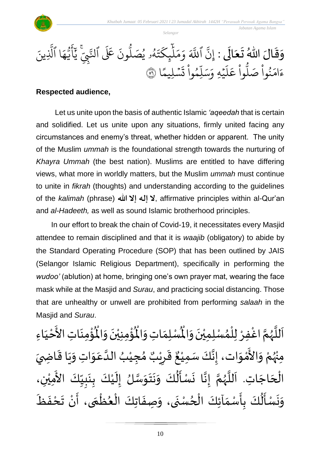

وَقَالَ اللّٰهُ تَعَالَى : إِنَّ  $\tilde{\mathbf{r}}$  $\frac{1}{2}$  $\frac{1}{2}$  $\frac{1}{2}$  $\frac{1}{2}$ نّ ا إ ِ للَّهَ وَمَلْيِكْتَهُ و<br>لھ  $\ddot{\phantom{0}}$ ت ر<br>م ِك ئ بر<br>آ  $\uplambda$  $\frac{1}{\epsilon}$ بر<br>م  $\frac{1}{2}$ وَمَلَٰٓئٍكَتَهُۥ يُصَلُّونَ عَلَى ون و<br>ا يُصَلُّونَ عَلَى ٱلنَّبِيِّ ُو ِ ي لنَّبِّ يَايَّهَا ر<br>م ه و<br>س سَ<br>ڊ ِ<br>ج  $\overline{\phantom{a}}$ َہِ<br>د يَأَيُّهَا ٱلَّذِينَ ب<br>ا لَّذِينَ ا  $\frac{2}{1}$ .<br>سليمًا  $\ddot{\phantom{0}}$ ر<br>بہ ت ْ وا ِم و ں<br>آ ل ِ<br>م بر<br>سد  $\frac{1}{c}$ يُهِ وَ,  $\ddot{\phantom{0}}$ ا<br>آ  $\uplambda$ ِ<br>م ع وا ْ و<br>ا ب<sub>ُواْ صَلَّ</sub> ؙ<br>
<sup>ب</sup> ُو<br>و  $\frac{1}{2}$ ءَامَنُواْ صَلُّواْ عَلَيْهِ وَسَلِّمُواْ تَسۡلِيمًا ۞

#### **Respected audience,**

Let us unite upon the basis of authentic Islamic *'aqeedah* that is certain and solidified. Let us unite upon any situations, firmly united facing any circumstances and enemy's threat, whether hidden or apparent. The unity of the Muslim *ummah* is the foundational strength towards the nurturing of *Khayra Ummah* (the best nation). Muslims are entitled to have differing views, what more in worldly matters, but the Muslim *ummah* must continue to unite in *fikrah* (thoughts) and understanding according to the guidelines of the *kalimah* (phrase) **هللا إال إله ال**, affirmative principles within al-Qur'an and *al-Hadeeth,* as well as sound Islamic brotherhood principles.

In our effort to break the chain of Covid-19, it necessitates every Masjid attendee to remain disciplined and that it is *waajib* (obligatory) to abide by the Standard Operating Procedure (SOP) that has been outlined by JAIS (Selangor Islamic Religious Department), specifically in performing the *wudoo'* (ablution) at home, bringing one's own prayer mat, wearing the face mask while at the Masjid and *Surau*, and practicing social distancing. Those that are unhealthy or unwell are prohibited from performing *salaah* in the Masjid and *Surau*.

ؙۊؙٝڡؚڹؘٵتؚ  $\ddot{\phantom{0}}$ ْ<br>باللہ ُ<br>ُاُ ُؤْمِنِيْنَ وَالْمُ  $\tilde{\cdot}$  $\ddot{\phantom{0}}$ ْ ْ<br>با ُْ ِ<br>لْمُسْلِمَاتِ وَالْمُ  $\tilde{\cdot}$  $\frac{1}{2}$ اَللَّهُمَّ اغْفِرْ لِلْمُسْلِمِيْنَ وَالْمُسْلِمَاتِ وَالْمُؤْمِنِيْنَ وَالْمُؤْمِنَاتِ الأَحْيَاءِ  $\tilde{\cdot}$  $\ddot{\phantom{0}}$ ់<br>**រ** ,<br>^ ់<br>( ْ ن<br>م ر<br>ر<br>ر ة<br>أ  $\mathbf{r}$  $\frac{1}{1}$ ْ لا<br>تح ْ مِنْهُمْ وَالأَمْوَات، إِنَّكَ سَمِيْعٌ قَرِيْبٌ مُجِيْبُ الدَّعَوَاتِ وَيَا قَاضِيَ بو<br>زر ់<br>•  $\frac{1}{2}$ ់<br>្ —<br>ع  $\frac{1}{2}$  $\frac{1}{2}$  $\ddot{\ddot{\cdot}}$  $\ddot{\phantom{0}}$  $\tilde{\cdot}$  $\ddot{\ }$ .<br>م ة<br>ا ُ ْ ๋<br>ጎ ه<br>د ا ي ر ق <u>ر</u> ا<br>پو ٌ ، إِنَّكَ سَمِيْعٌ ំ<br>រ لة<br>•  $\frac{1}{2}$ ا<br>الْحَاجَاتِ. اَللَّهُمَّ إِنَّا نَسْأَلُكَ وَنَتَوَسَّلُ إِلَيْكَ بِنَبِيِّكَ الأَمِيْنِ، ْ َ<br>ج ِّ  $\frac{1}{2}$ ا<br>:  $\ddot{\phantom{0}}$ ِ<br>م ْ  $\tilde{\mathbf{r}}$  $\frac{1}{2}$ ة<br>ما  $\frac{1}{2}$  $\ddot{\phantom{0}}$  $\ddot{\phantom{0}}$  $\frac{1}{2}$  $\ddot{\ddot{\cdot}}$ ا<br>پنجاب<br>پنجاب  $\ddot{\phantom{0}}$ ه  $\frac{1}{2}$ ة<br>م و<br>ر ة<br>أ `<br>آ  $\overline{\phantom{a}}$ ٔ<br>ا  $\mathbf{r}$ وَنَسْأَلُكَ بِأَسْمَآئِكَ الْحُسْنَى، وَصِفَاتِكَ الْعُظْمَى، أَنْ تَحْفَظَ ا<br>نو  $\ddot{\phantom{0}}$ ْ  $\ddot{\phantom{0}}$ ์ ֦֧֦֧֦֧֦֧֦֧֦֧֦֧֦֧֦֧֦֧֦֧֦֧֝֝<br>**֧**  $\frac{1}{2}$ ֦֧֦֧֦֧֦֧֦֧֦֧֦֟֓<br>֧ׅ֦ׅׅ֛֝֜֜֜֜֜֜֜֜֜֜֜֜֜֜֜֜֜֜֝֜֜  $\ddot{\cdot}$  $\tilde{\cdot}$  $\ddot{\phantom{0}}$ ِ<br>ِ ֦֧֦֧֦֧֦֧֦֧֦֧֦֧֦֧֜֜֜֓֓֟֓<br>**֧**  $\frac{1}{\lambda}$  $\frac{1}{2}$ ِ دِ ۔<br>پو  $\ddot{\tilde{}}$  $\ddot{\phantom{0}}$  $\tilde{ }$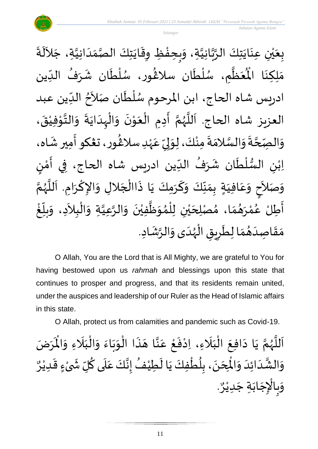

ة<br>م بِعَيْنِ عِنَايَتِكَ الرَّبَّانِيَّةِ، وَبِحِفْظِ وِقَايَتِكَ الصَّمَدَانِيَّةِ، جَلاَلَةَ  $\ddot{\ }$  $\ddot{\phantom{0}}$ ់<br>**់** ي  $\frac{1}{2}$  $\ddot{\cdot}$ ِ<br>ا  $\tilde{\phantom{a}}$ ة<br>م  $\frac{1}{1}$  $\frac{1}{\sqrt{2}}$ ة<br>مد  $\ddot{\phantom{0}}$  $\ddot{\ddot{\cdot}}$ ֦֧֦֦֧֦֧֝<u>֦</u> ا<br>م  $\frac{1}{2}$ ة<br>م ي<br>مه .<br>عَظَّمِ، سُلْطَان سلاغُور، سُلْطَان شَرَفُ الدِّين  $\frac{1}{1}$ ا<br>م  $\frac{1}{2}$  $\ddot{\phantom{0}}$ ٝ<br>ا ر<br>م }<br>፟**፟** ر<br>م ً<br>أ ر<br>ر<br>ر ة<br>م  $\frac{1}{2}$ ُ<br>پُ مَلِكِنَا الْمُ ا<br>با ์ $\frac{1}{\lambda}$ ادريس شاه الحاج، ابن المرحوم سُلْطَان صَلاَحُ الدِّين عبد  $\frac{1}{\sqrt{2}}$ ፟<br>፟  $\tilde{\phantom{a}}$  $\ddot{\phantom{0}}$ ْ ر<br>م العزيز شاه الحاج. اَللَّهُمَّ أَدِمِ الْعَوْنَ وَالْبِدَايَةَ وَالتَّوْفِيْقَ،  $\frac{1}{2}$ ے<br>نہ  $\ddot{\phantom{0}}$  $\frac{1}{1}$ ֦֧֦֧֦֧֦֧֦֧֦֜֜֜֜֜֜<br>֧ׅׅ֝֜֜֜֜֜֜֜֜֜֜֜֜֝֜֜֝֜֟֟  $\tilde{\cdot}$  $\ddot{\phantom{0}}$ י<br>י  $\frac{1}{2}$ ْ े<br>∕ ِ<br>پ ن<br>م و<br>ر<br>ر ہ<br>تا َ  $\ddot{\mathbf{z}}$ ْ י<br>י ه .<br>وَالْصِّحَّةَ وَالْسَّلامَةَ مِنْكَ، لِوَلِيِّ عَہْدِ سلاڠُور، ت**عْك**و أَمِير شَـّاه،  $\frac{1}{2}$ ِ<br>پ }<br>፟**፟** ٝ<br>; ِ<br>م ِ<br>∪<br>′  $\frac{1}{2}$ إ  $\ddot{\ }$ ْ  $\frac{1}{2}$  $\frac{1}{2}$ ة<br>مد  $\frac{1}{2}$  $\ddot{ }$ ة<br>م  $\frac{1}{2}$ اِبْنِ السُّلْطَان شَرَفُ الدِّين ادريس شاه الحاج، فِي أَمْنٍ ِّ .<br>و  $\overline{\phantom{a}}$  $\tilde{\mathbf{r}}$ ່<br>ເ ر<br>ر<br>ر ؗ<br>ٷ  $\frac{1}{2}$ ر<br>! י<br>י  $\frac{1}{2}$ ء<br>ج وَصَلاَحٍ وَعَافِيَةٍ بِمَنِّكَ وَكَرَمِكَ يَا ذَاالْجَلالِ وَالإِكْرَامِ. اَللَّهُمَّ ر<br>ر<br>ر ة<br>أ  $\overline{\phantom{a}}$  $\ddot{\phantom{0}}$ ا<br>د  $\frac{1}{2}$  $\overline{\phantom{a}}$ ْ  $\ddot{\cdot}$  $\ddot{\phantom{0}}$ ์<br>-<br>- $\frac{1}{2}$ ِّ  $\frac{1}{2}$  $\frac{1}{2}$  $\frac{1}{2}$ َ .<br>م  $\frac{1}{2}$ **∣**  $\tilde{\phantom{a}}$  $\frac{1}{2}$  $\frac{1}{2}$ أَطِلْ عُمْرَهُمَا، مُصْلِحَيْنِ لِلْمُوَظَّفِيْنَ وَالرَّعِيَّةِ وَالْبِلاَدِ، وَبِلَّغْ ْ :<br>م ا<br>پنج ْ ِّ  $\sum_{i=1}^{n}$  $\tilde{\cdot}$ َ ْ  $\tilde{\cdot}$ ة<br>م ه  $\tilde{\cdot}$  $\ddot{\phantom{0}}$ ْ ہ<br>محمد<br>ا  $\frac{1}{2}$ ๋<br>ለ ر<br>ا ់<br>រ ي  $\overline{\phantom{a}}$  $\frac{1}{2}$  $\frac{1}{2}$ مَقَاصِدَهُمَا لِطَرِيقِ الْهُدَى وَالرَّشَادِ.  $\ddot{\phantom{0}}$  $\tilde{\cdot}$  $\frac{1}{1}$ ر<br>ر<br>ر ِّ<br>ا ة ما<br>ا <u>ر</u>  $\ddot{\phantom{0}}$  $\frac{1}{2}$  $\frac{1}{2}$ َ  $\frac{1}{2}$  $\frac{1}{2}$ 

O Allah, You are the Lord that is All Mighty, we are grateful to You for having bestowed upon us *rahmah* and blessings upon this state that continues to prosper and progress, and that its residents remain united, under the auspices and leadership of our Ruler as the Head of Islamic affairs in this state.

O Allah, protect us from calamities and pandemic such as Covid-19.

ن<br>م اَللَّهُمَّ يَا دَافِعَ الْبَلَاءِ، اِدْفَعْ عَنَّا هَذَا الْوَبَاءَ وَالْبَلَاءِ وَالْمَرَضَ و<br>ر ة<br>أ  $\mathbf{r}$  $\ddot{\phantom{0}}$ دَافِعَ الْبَلَاءِ، اِدْفَعْ عَنَّا هَذَا الْوَبَاءَ وَالْبَلَاءِ وَالْمُ  $\tilde{\cdot}$ ً<br>ن  $\frac{1}{1}$ ْ  $\tilde{\cdot}$  $\frac{1}{2}$  $\ddot{\phantom{0}}$  $\ddot{\ }$ ْ  $\ddot{\phantom{0}}$  $\tilde{\phantom{a}}$ نة<br>م .<br>م ֦֧<u>֚</u>  $\ddot{\cdot}$ ْ ِ<br>ا َ ֦֧֦֧֦֧֦֧֦֧֦֜֜֜֜֜֜֜<br>֧ׅ֦֝֜֜֜֜֜֜֜֜֜֜֜֜  $\ddot{\phantom{0}}$  $\sim$ و<br>م ِ<br>وَالشَّدَائِدَ وَالْمِحَنَ، بِلُطْفِكَ يَا لَطِيْفُ إِنَّكَ عَلَى كُلِّ شَىْءٍ قَدِيْرٌ ٝ<br>ؙ  $\ddot{\mathbf{r}}$ **}** ْ  $\sum$ ُ े $\cdot$ ِ<br>م ه  $\frac{1}{2}$ ُ  $\tilde{\mathbf{r}}$ े<br>द ْ بر<br>ا <u>د</u><br>:  $\ddot{\phantom{0}}$  $\overline{\phantom{a}}$ <u>់</u>  $\frac{1}{2}$  $\frac{1}{1}$ َ ه  $\frac{1}{2}$ . و<br>م وَبِالْإِجَابَةِ جَدِيْرٌ ٝ<br>ؙ  $\overline{\phantom{a}}$  $\ddot{\phantom{0}}$  $\overline{\phantom{a}}$ ֦֧֦֧֦֧<br>֠֩֩ ا<br>ح  $\frac{1}{2}$